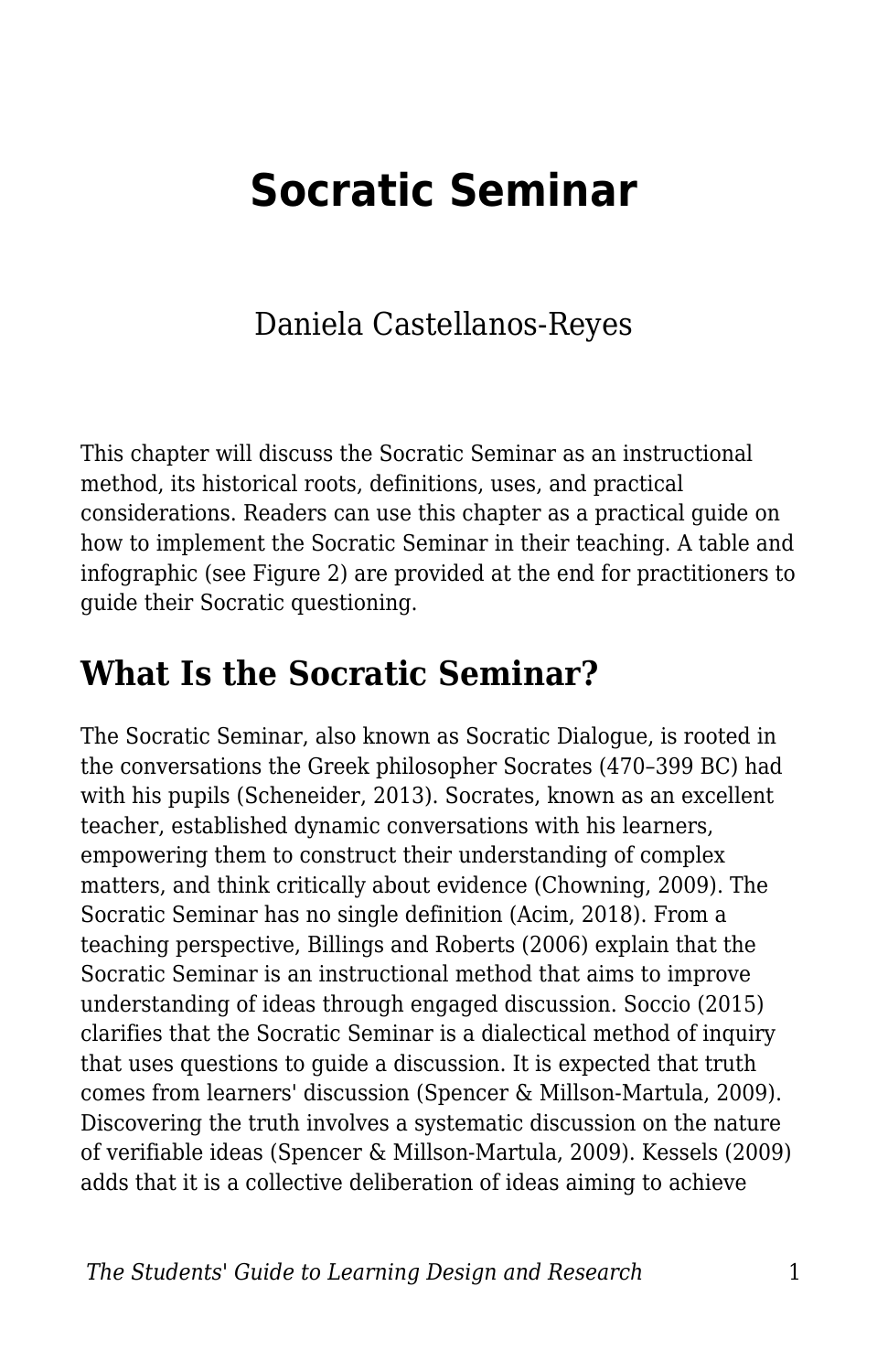# **Socratic Seminar**

## Daniela Castellanos-Reyes

This chapter will discuss the Socratic Seminar as an instructional method, its historical roots, definitions, uses, and practical considerations. Readers can use this chapter as a practical guide on how to implement the Socratic Seminar in their teaching. A table and infographic (see Figure 2) are provided at the end for practitioners to guide their Socratic questioning.

# **What Is the Socratic Seminar?**

The Socratic Seminar, also known as Socratic Dialogue, is rooted in the conversations the Greek philosopher Socrates (470–399 BC) had with his pupils (Scheneider, 2013). Socrates, known as an excellent teacher, established dynamic conversations with his learners, empowering them to construct their understanding of complex matters, and think critically about evidence (Chowning, 2009). The Socratic Seminar has no single definition (Acim, 2018). From a teaching perspective, Billings and Roberts (2006) explain that the Socratic Seminar is an instructional method that aims to improve understanding of ideas through engaged discussion. Soccio (2015) clarifies that the Socratic Seminar is a dialectical method of inquiry that uses questions to guide a discussion. It is expected that truth comes from learners' discussion (Spencer & Millson-Martula, 2009). Discovering the truth involves a systematic discussion on the nature of verifiable ideas (Spencer & Millson-Martula, 2009). Kessels (2009) adds that it is a collective deliberation of ideas aiming to achieve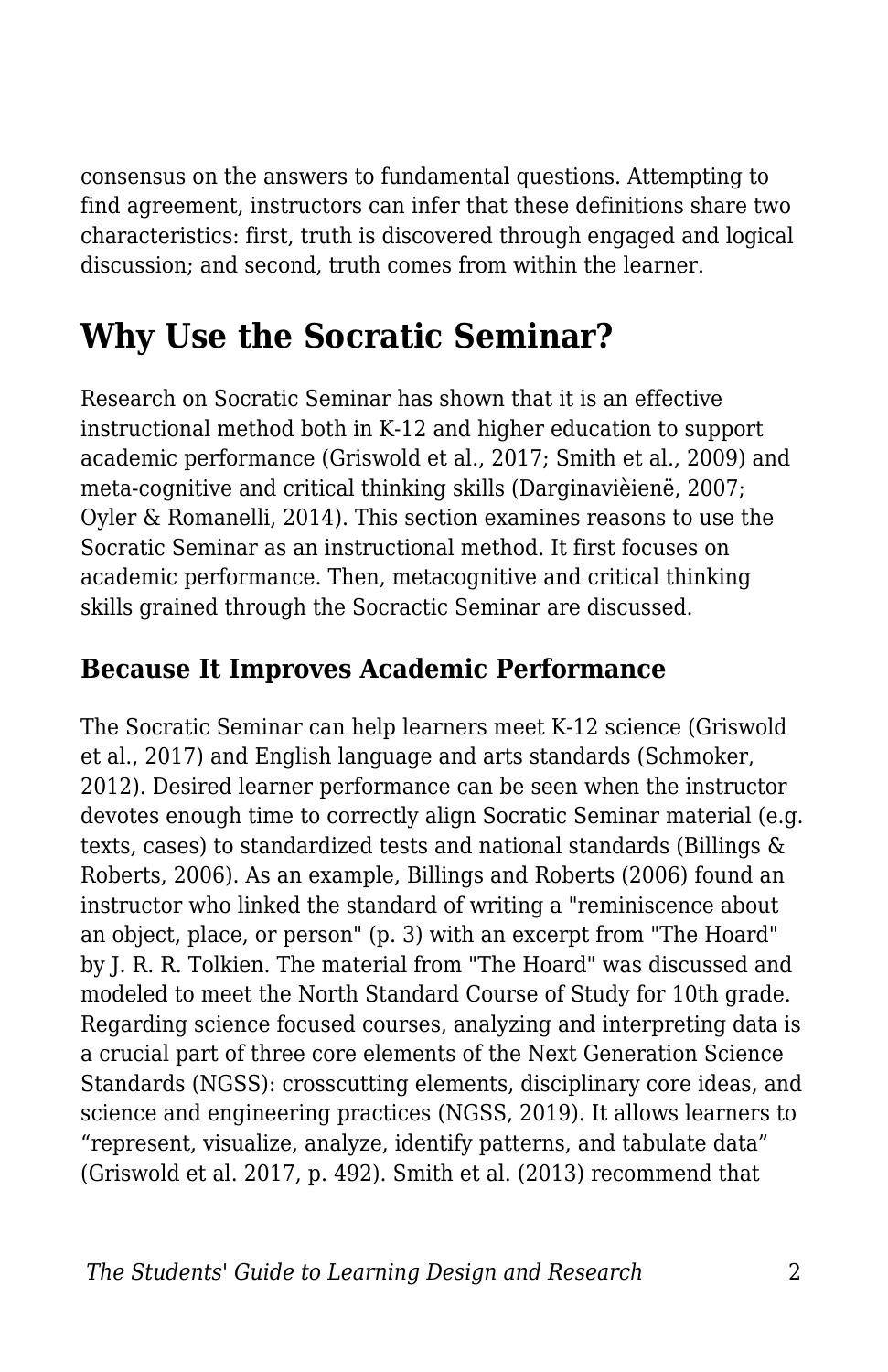consensus on the answers to fundamental questions. Attempting to find agreement, instructors can infer that these definitions share two characteristics: first, truth is discovered through engaged and logical discussion; and second, truth comes from within the learner.

# **Why Use the Socratic Seminar?**

Research on Socratic Seminar has shown that it is an effective instructional method both in K-12 and higher education to support academic performance (Griswold et al., 2017; Smith et al., 2009) and meta-cognitive and critical thinking skills (Darginavièienë, 2007; Oyler & Romanelli, 2014). This section examines reasons to use the Socratic Seminar as an instructional method. It first focuses on academic performance. Then, metacognitive and critical thinking skills grained through the Socractic Seminar are discussed.

## **Because It Improves Academic Performance**

The Socratic Seminar can help learners meet K-12 science (Griswold et al., 2017) and English language and arts standards (Schmoker, 2012). Desired learner performance can be seen when the instructor devotes enough time to correctly align Socratic Seminar material (e.g. texts, cases) to standardized tests and national standards (Billings & Roberts, 2006). As an example, Billings and Roberts (2006) found an instructor who linked the standard of writing a "reminiscence about an object, place, or person" (p. 3) with an excerpt from "The Hoard" by J. R. R. Tolkien. The material from "The Hoard" was discussed and modeled to meet the North Standard Course of Study for 10th grade. Regarding science focused courses, analyzing and interpreting data is a crucial part of three core elements of the Next Generation Science Standards (NGSS): crosscutting elements, disciplinary core ideas, and science and engineering practices (NGSS, 2019). It allows learners to "represent, visualize, analyze, identify patterns, and tabulate data" (Griswold et al. 2017, p. 492). Smith et al. (2013) recommend that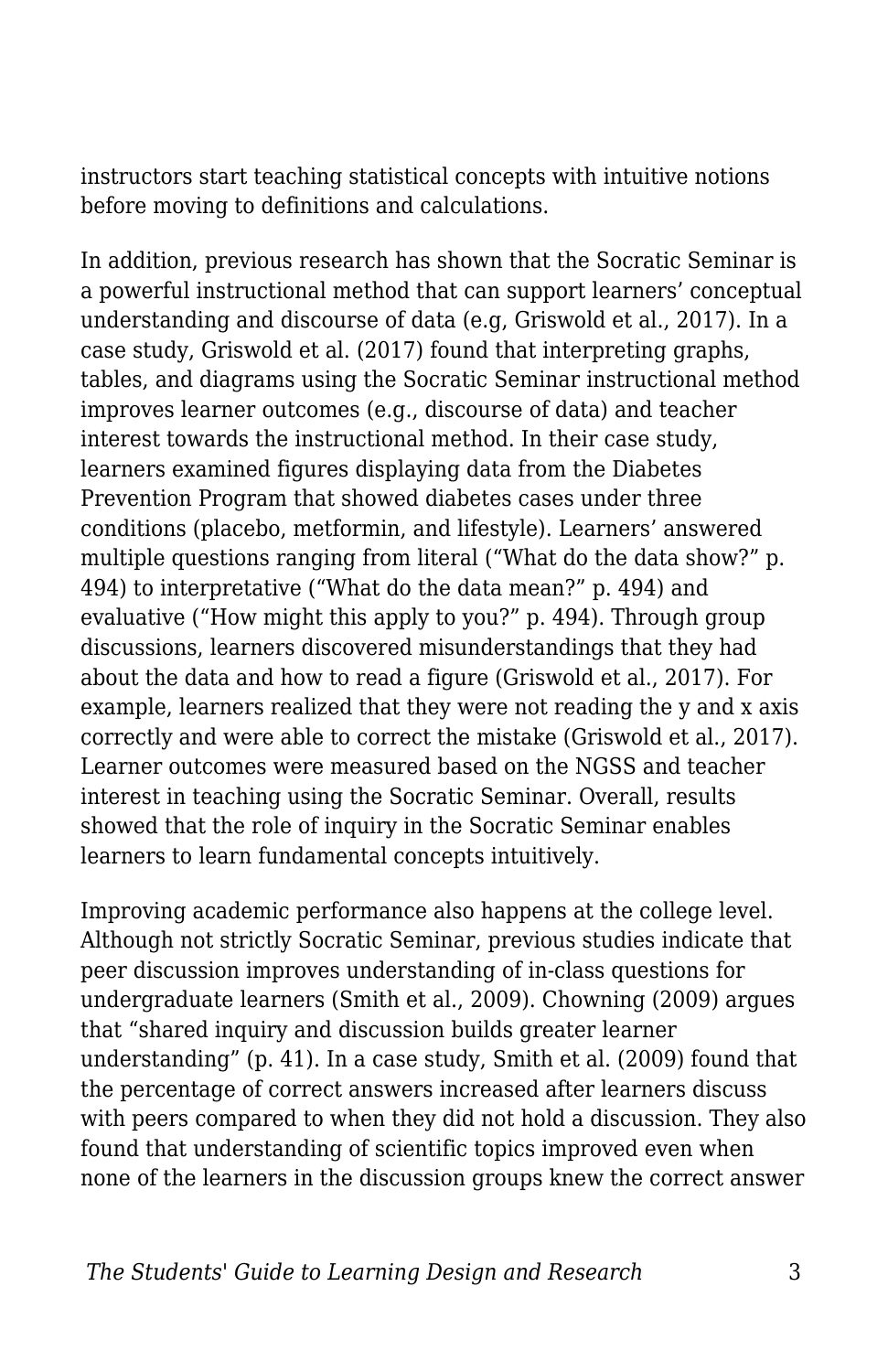instructors start teaching statistical concepts with intuitive notions before moving to definitions and calculations.

In addition, previous research has shown that the Socratic Seminar is a powerful instructional method that can support learners' conceptual understanding and discourse of data (e.g, Griswold et al., 2017). In a case study, Griswold et al. (2017) found that interpreting graphs, tables, and diagrams using the Socratic Seminar instructional method improves learner outcomes (e.g., discourse of data) and teacher interest towards the instructional method. In their case study, learners examined figures displaying data from the Diabetes Prevention Program that showed diabetes cases under three conditions (placebo, metformin, and lifestyle). Learners' answered multiple questions ranging from literal ("What do the data show?" p. 494) to interpretative ("What do the data mean?" p. 494) and evaluative ("How might this apply to you?" p. 494). Through group discussions, learners discovered misunderstandings that they had about the data and how to read a figure (Griswold et al., 2017). For example, learners realized that they were not reading the y and x axis correctly and were able to correct the mistake (Griswold et al., 2017). Learner outcomes were measured based on the NGSS and teacher interest in teaching using the Socratic Seminar. Overall, results showed that the role of inquiry in the Socratic Seminar enables learners to learn fundamental concepts intuitively.

Improving academic performance also happens at the college level. Although not strictly Socratic Seminar, previous studies indicate that peer discussion improves understanding of in-class questions for undergraduate learners (Smith et al., 2009). Chowning (2009) argues that "shared inquiry and discussion builds greater learner understanding" (p. 41). In a case study, Smith et al. (2009) found that the percentage of correct answers increased after learners discuss with peers compared to when they did not hold a discussion. They also found that understanding of scientific topics improved even when none of the learners in the discussion groups knew the correct answer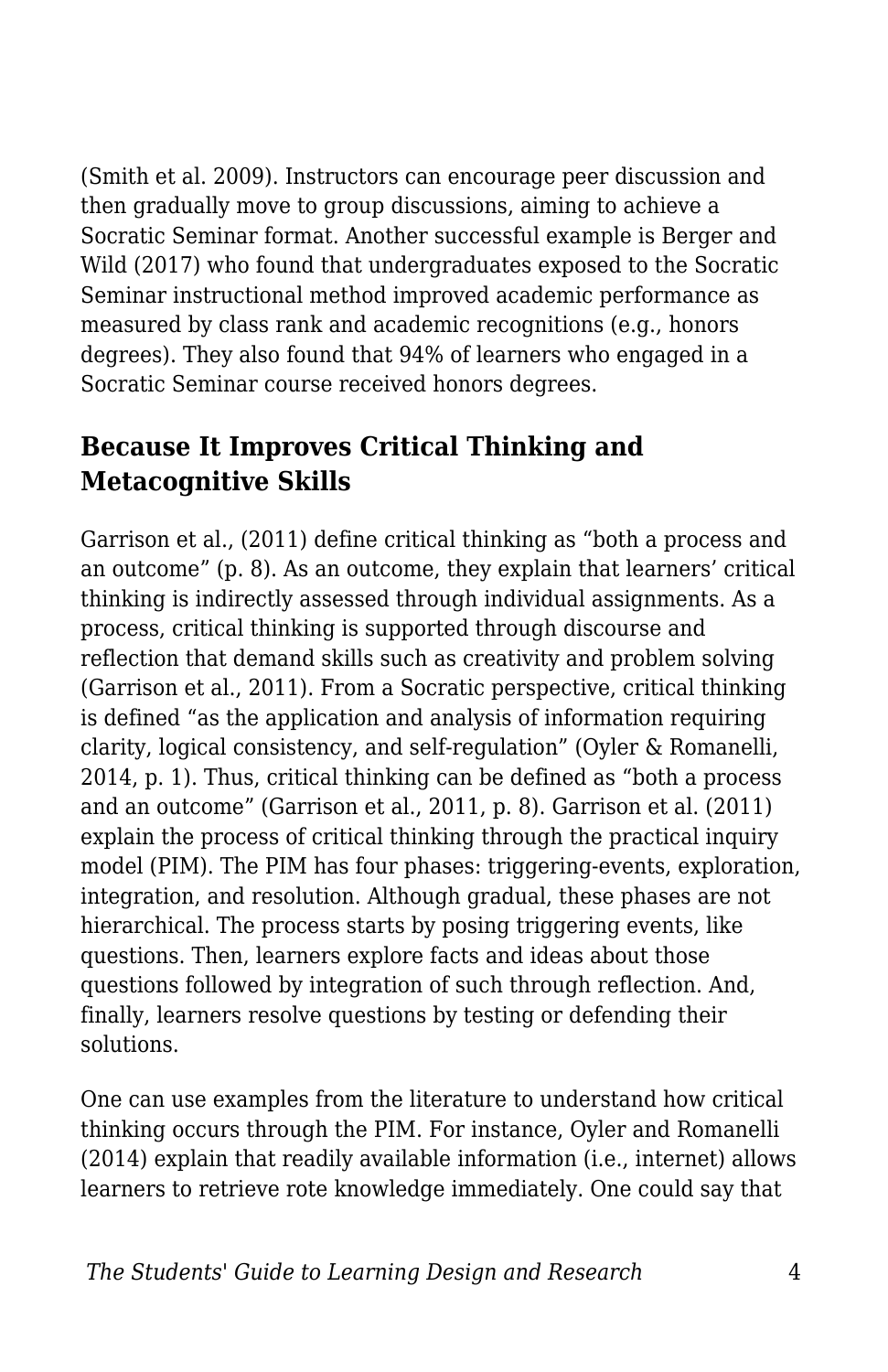(Smith et al. 2009). Instructors can encourage peer discussion and then gradually move to group discussions, aiming to achieve a Socratic Seminar format. Another successful example is Berger and Wild (2017) who found that undergraduates exposed to the Socratic Seminar instructional method improved academic performance as measured by class rank and academic recognitions (e.g., honors degrees). They also found that 94% of learners who engaged in a Socratic Seminar course received honors degrees.

## **Because It Improves Critical Thinking and Metacognitive Skills**

Garrison et al., (2011) define critical thinking as "both a process and an outcome" (p. 8). As an outcome, they explain that learners' critical thinking is indirectly assessed through individual assignments. As a process, critical thinking is supported through discourse and reflection that demand skills such as creativity and problem solving (Garrison et al., 2011). From a Socratic perspective, critical thinking is defined "as the application and analysis of information requiring clarity, logical consistency, and self-regulation" (Oyler & Romanelli, 2014, p. 1). Thus, critical thinking can be defined as "both a process and an outcome" (Garrison et al., 2011, p. 8). Garrison et al. (2011) explain the process of critical thinking through the practical inquiry model (PIM). The PIM has four phases: triggering-events, exploration, integration, and resolution. Although gradual, these phases are not hierarchical. The process starts by posing triggering events, like questions. Then, learners explore facts and ideas about those questions followed by integration of such through reflection. And, finally, learners resolve questions by testing or defending their solutions.

One can use examples from the literature to understand how critical thinking occurs through the PIM. For instance, Oyler and Romanelli (2014) explain that readily available information (i.e., internet) allows learners to retrieve rote knowledge immediately. One could say that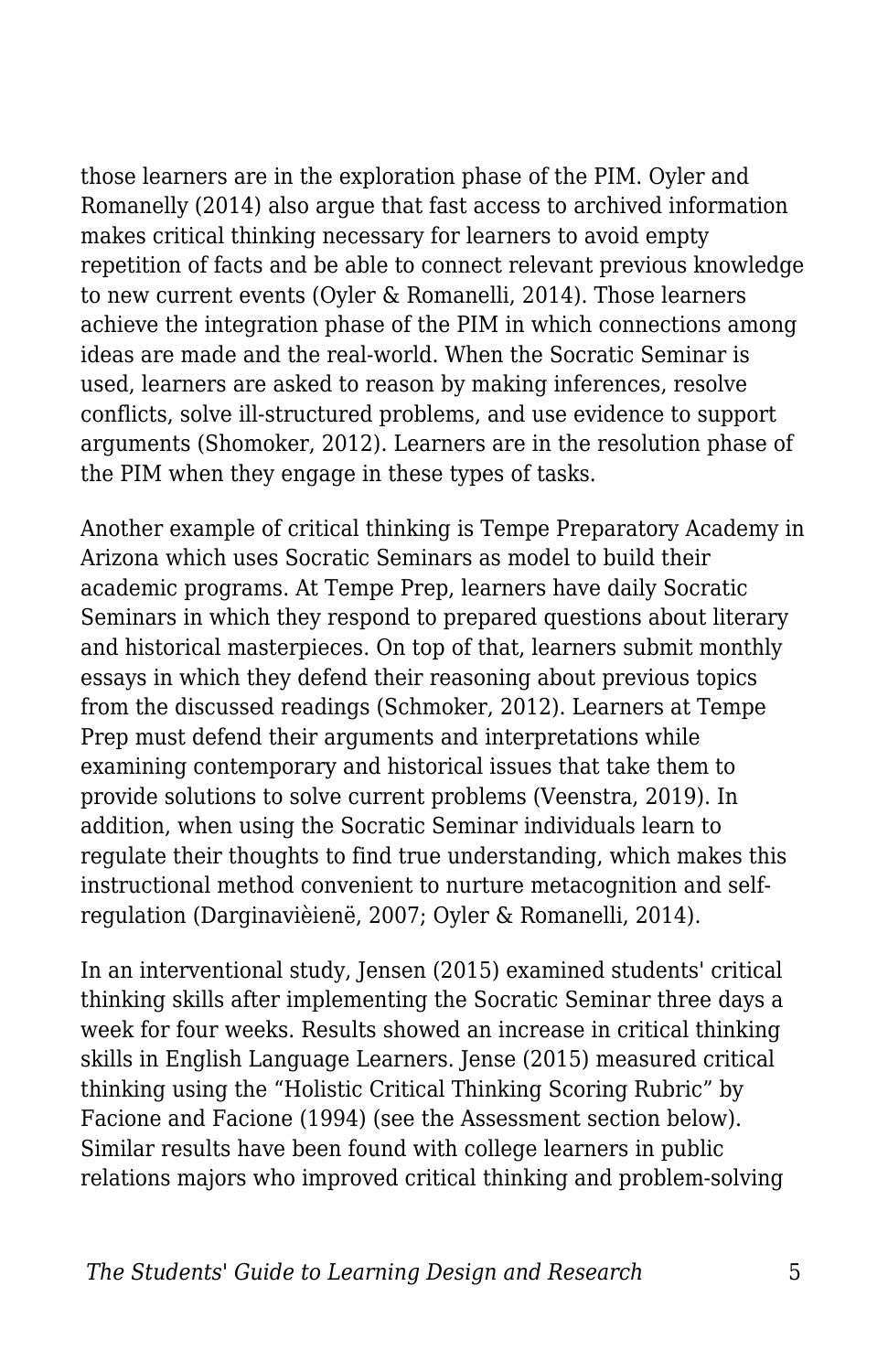those learners are in the exploration phase of the PIM. Oyler and Romanelly (2014) also argue that fast access to archived information makes critical thinking necessary for learners to avoid empty repetition of facts and be able to connect relevant previous knowledge to new current events (Oyler & Romanelli, 2014). Those learners achieve the integration phase of the PIM in which connections among ideas are made and the real-world. When the Socratic Seminar is used, learners are asked to reason by making inferences, resolve conflicts, solve ill-structured problems, and use evidence to support arguments (Shomoker, 2012). Learners are in the resolution phase of the PIM when they engage in these types of tasks.

Another example of critical thinking is Tempe Preparatory Academy in Arizona which uses Socratic Seminars as model to build their academic programs. At Tempe Prep, learners have daily Socratic Seminars in which they respond to prepared questions about literary and historical masterpieces. On top of that, learners submit monthly essays in which they defend their reasoning about previous topics from the discussed readings (Schmoker, 2012). Learners at Tempe Prep must defend their arguments and interpretations while examining contemporary and historical issues that take them to provide solutions to solve current problems (Veenstra, 2019). In addition, when using the Socratic Seminar individuals learn to regulate their thoughts to find true understanding, which makes this instructional method convenient to nurture metacognition and selfregulation (Darginavièienë, 2007; Oyler & Romanelli, 2014).

In an interventional study, Jensen (2015) examined students' critical thinking skills after implementing the Socratic Seminar three days a week for four weeks. Results showed an increase in critical thinking skills in English Language Learners. Jense (2015) measured critical thinking using the "Holistic Critical Thinking Scoring Rubric" by Facione and Facione (1994) (see the Assessment section below). Similar results have been found with college learners in public relations majors who improved critical thinking and problem-solving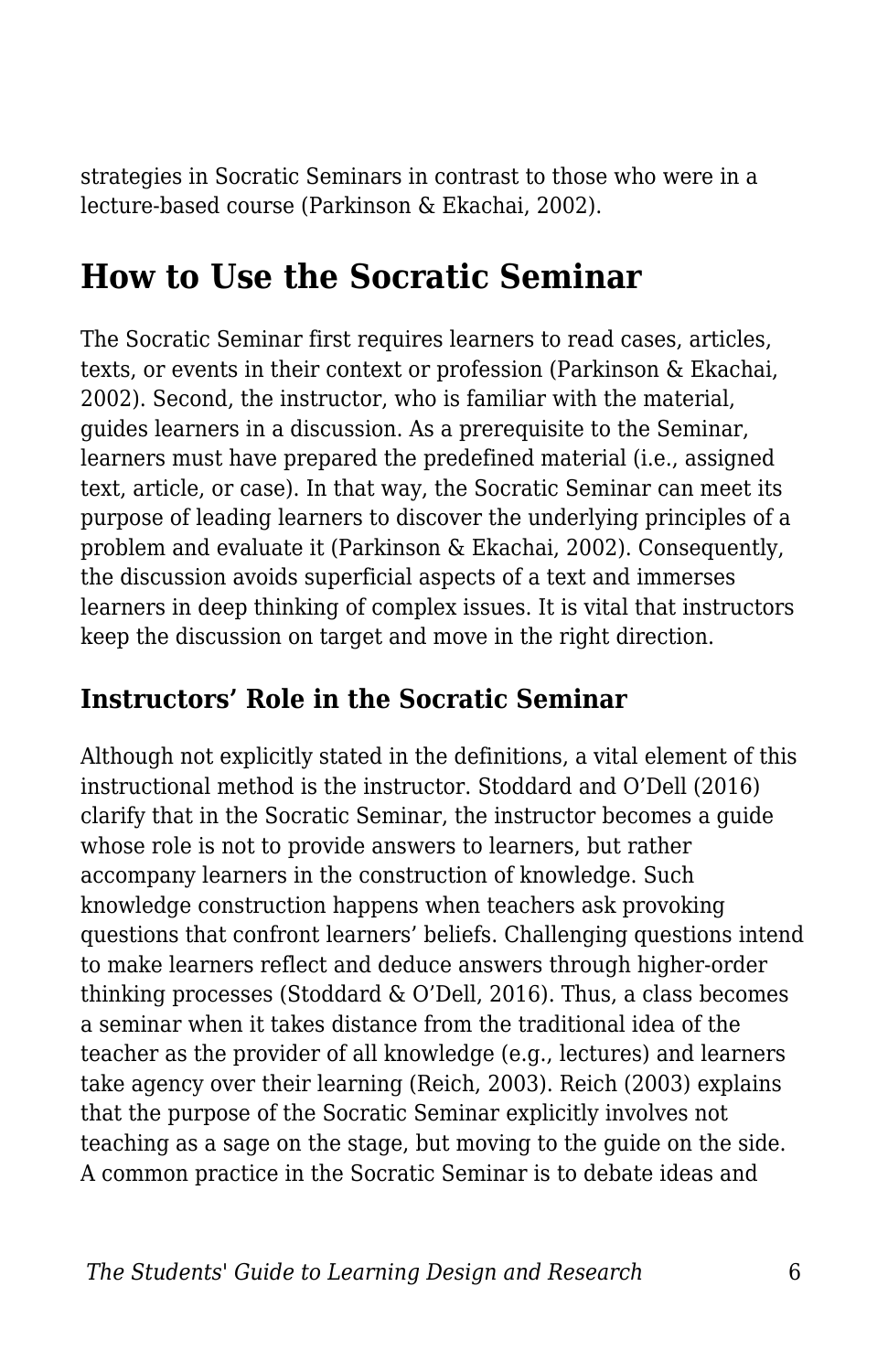strategies in Socratic Seminars in contrast to those who were in a lecture-based course (Parkinson & Ekachai, 2002).

# **How to Use the Socratic Seminar**

The Socratic Seminar first requires learners to read cases, articles, texts, or events in their context or profession (Parkinson & Ekachai, 2002). Second, the instructor, who is familiar with the material, guides learners in a discussion. As a prerequisite to the Seminar, learners must have prepared the predefined material (i.e., assigned text, article, or case). In that way, the Socratic Seminar can meet its purpose of leading learners to discover the underlying principles of a problem and evaluate it (Parkinson & Ekachai, 2002). Consequently, the discussion avoids superficial aspects of a text and immerses learners in deep thinking of complex issues. It is vital that instructors keep the discussion on target and move in the right direction.

### **Instructors' Role in the Socratic Seminar**

Although not explicitly stated in the definitions, a vital element of this instructional method is the instructor. Stoddard and O'Dell (2016) clarify that in the Socratic Seminar, the instructor becomes a guide whose role is not to provide answers to learners, but rather accompany learners in the construction of knowledge. Such knowledge construction happens when teachers ask provoking questions that confront learners' beliefs. Challenging questions intend to make learners reflect and deduce answers through higher-order thinking processes (Stoddard & O'Dell, 2016). Thus, a class becomes a seminar when it takes distance from the traditional idea of the teacher as the provider of all knowledge (e.g., lectures) and learners take agency over their learning (Reich, 2003). Reich (2003) explains that the purpose of the Socratic Seminar explicitly involves not teaching as a sage on the stage, but moving to the guide on the side. A common practice in the Socratic Seminar is to debate ideas and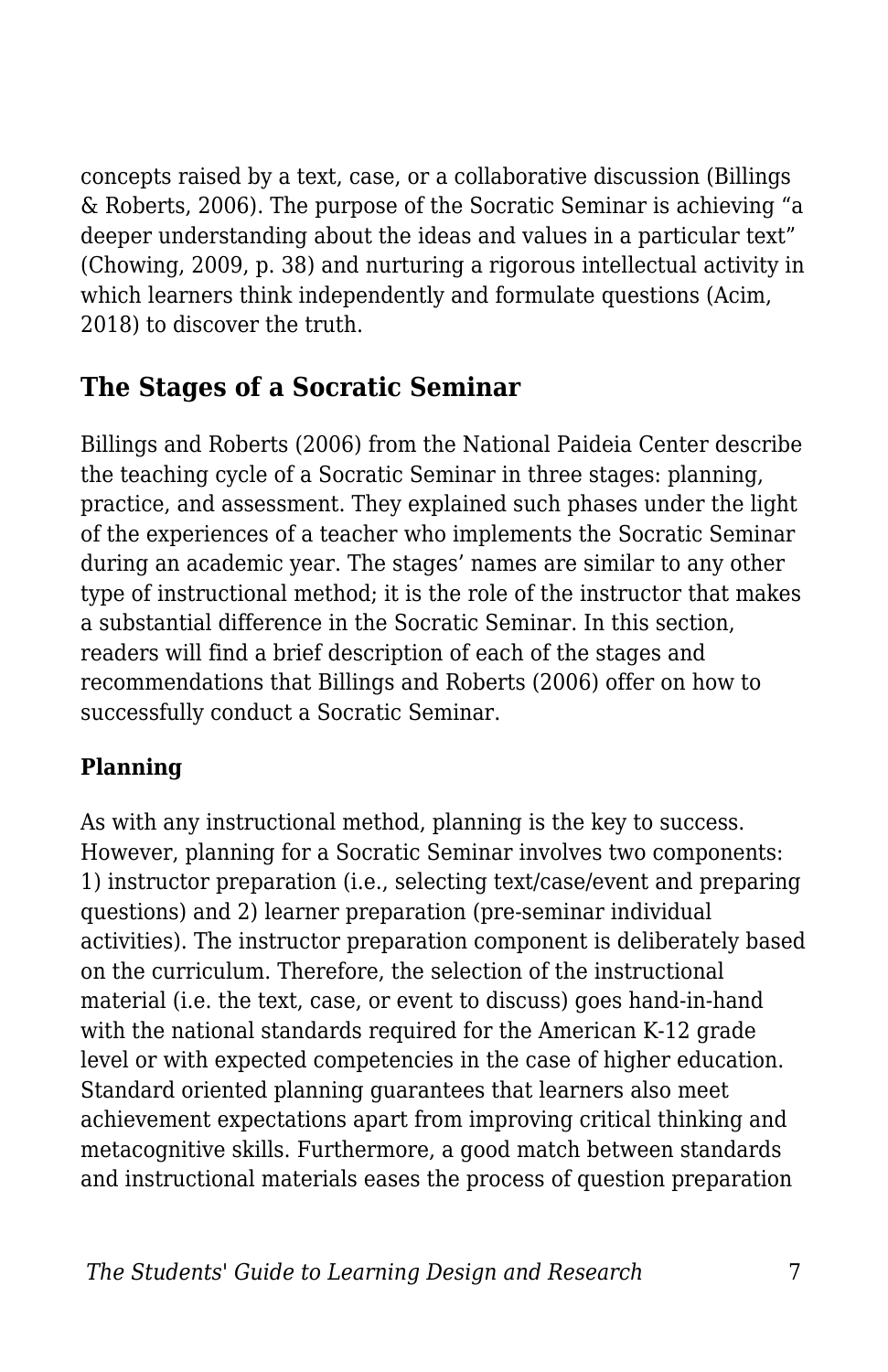concepts raised by a text, case, or a collaborative discussion (Billings & Roberts, 2006). The purpose of the Socratic Seminar is achieving "a deeper understanding about the ideas and values in a particular text" (Chowing, 2009, p. 38) and nurturing a rigorous intellectual activity in which learners think independently and formulate questions (Acim, 2018) to discover the truth.

## **The Stages of a Socratic Seminar**

Billings and Roberts (2006) from the National Paideia Center describe the teaching cycle of a Socratic Seminar in three stages: planning, practice, and assessment. They explained such phases under the light of the experiences of a teacher who implements the Socratic Seminar during an academic year. The stages' names are similar to any other type of instructional method; it is the role of the instructor that makes a substantial difference in the Socratic Seminar. In this section, readers will find a brief description of each of the stages and recommendations that Billings and Roberts (2006) offer on how to successfully conduct a Socratic Seminar.

#### **Planning**

As with any instructional method, planning is the key to success. However, planning for a Socratic Seminar involves two components: 1) instructor preparation (i.e., selecting text/case/event and preparing questions) and 2) learner preparation (pre-seminar individual activities). The instructor preparation component is deliberately based on the curriculum. Therefore, the selection of the instructional material (i.e. the text, case, or event to discuss) goes hand-in-hand with the national standards required for the American K-12 grade level or with expected competencies in the case of higher education. Standard oriented planning guarantees that learners also meet achievement expectations apart from improving critical thinking and metacognitive skills. Furthermore, a good match between standards and instructional materials eases the process of question preparation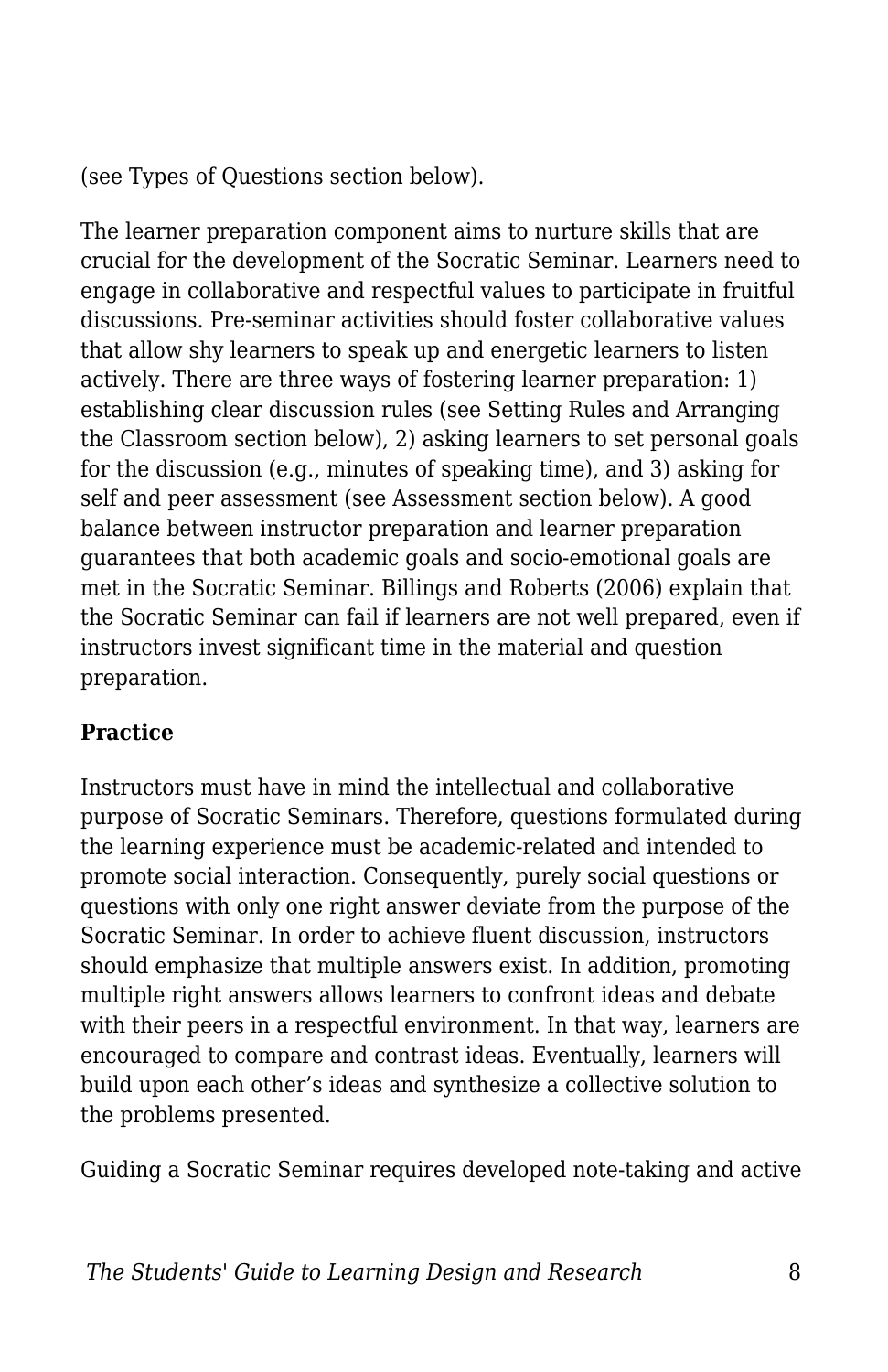(see Types of Questions section below).

The learner preparation component aims to nurture skills that are crucial for the development of the Socratic Seminar. Learners need to engage in collaborative and respectful values to participate in fruitful discussions. Pre-seminar activities should foster collaborative values that allow shy learners to speak up and energetic learners to listen actively. There are three ways of fostering learner preparation: 1) establishing clear discussion rules (see Setting Rules and Arranging the Classroom section below), 2) asking learners to set personal goals for the discussion (e.g., minutes of speaking time), and 3) asking for self and peer assessment (see Assessment section below). A good balance between instructor preparation and learner preparation guarantees that both academic goals and socio-emotional goals are met in the Socratic Seminar. Billings and Roberts (2006) explain that the Socratic Seminar can fail if learners are not well prepared, even if instructors invest significant time in the material and question preparation.

#### **Practice**

Instructors must have in mind the intellectual and collaborative purpose of Socratic Seminars. Therefore, questions formulated during the learning experience must be academic-related and intended to promote social interaction. Consequently, purely social questions or questions with only one right answer deviate from the purpose of the Socratic Seminar. In order to achieve fluent discussion, instructors should emphasize that multiple answers exist. In addition, promoting multiple right answers allows learners to confront ideas and debate with their peers in a respectful environment. In that way, learners are encouraged to compare and contrast ideas. Eventually, learners will build upon each other's ideas and synthesize a collective solution to the problems presented.

Guiding a Socratic Seminar requires developed note-taking and active

*The Students' Guide to Learning Design and Research* 8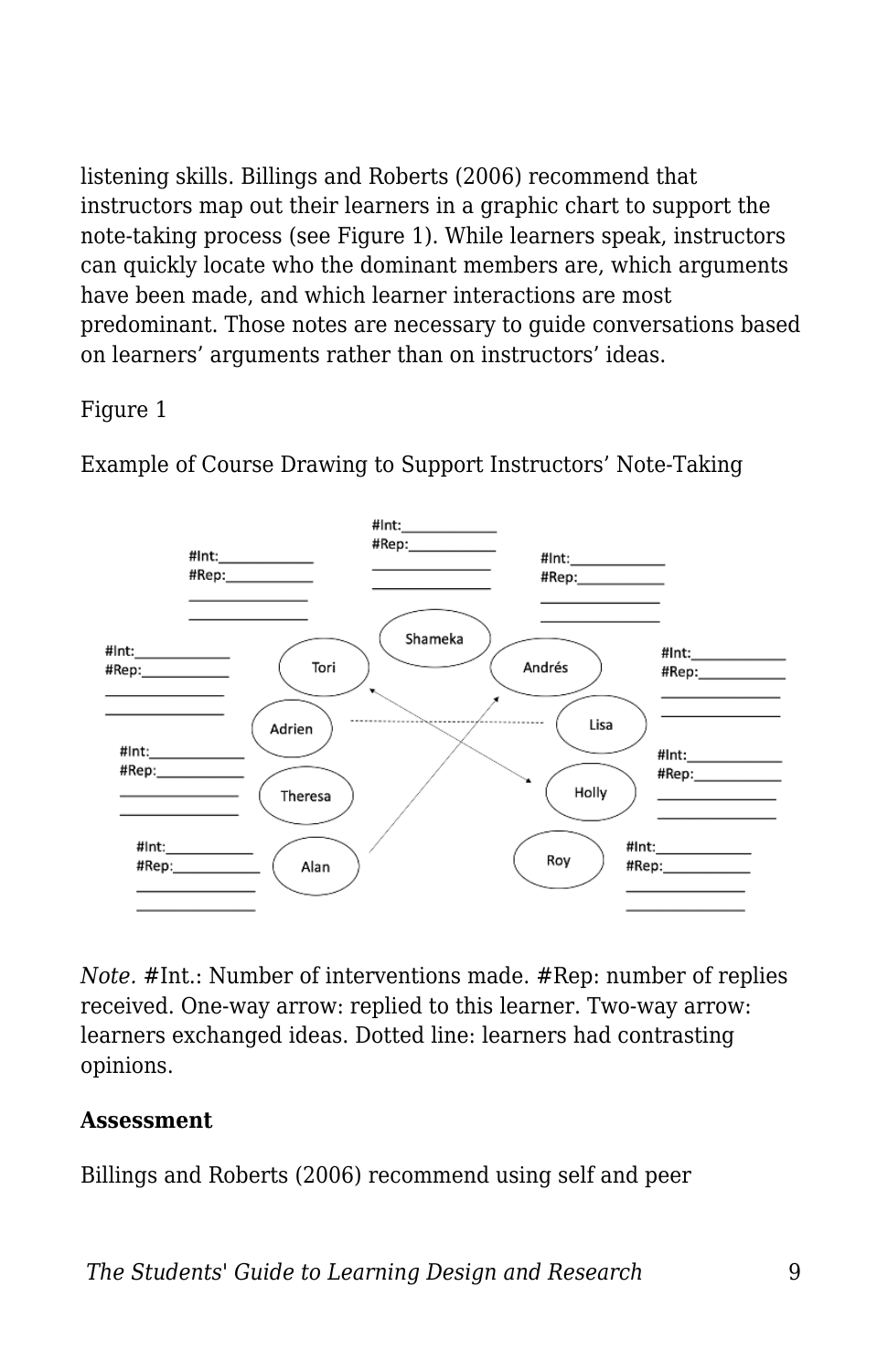listening skills. Billings and Roberts (2006) recommend that instructors map out their learners in a graphic chart to support the note-taking process (see Figure 1). While learners speak, instructors can quickly locate who the dominant members are, which arguments have been made, and which learner interactions are most predominant. Those notes are necessary to guide conversations based on learners' arguments rather than on instructors' ideas.

#### Figure 1

Example of Course Drawing to Support Instructors' Note-Taking



*Note.* #Int.: Number of interventions made. #Rep: number of replies received. One-way arrow: replied to this learner. Two-way arrow: learners exchanged ideas. Dotted line: learners had contrasting opinions.

#### **Assessment**

Billings and Roberts (2006) recommend using self and peer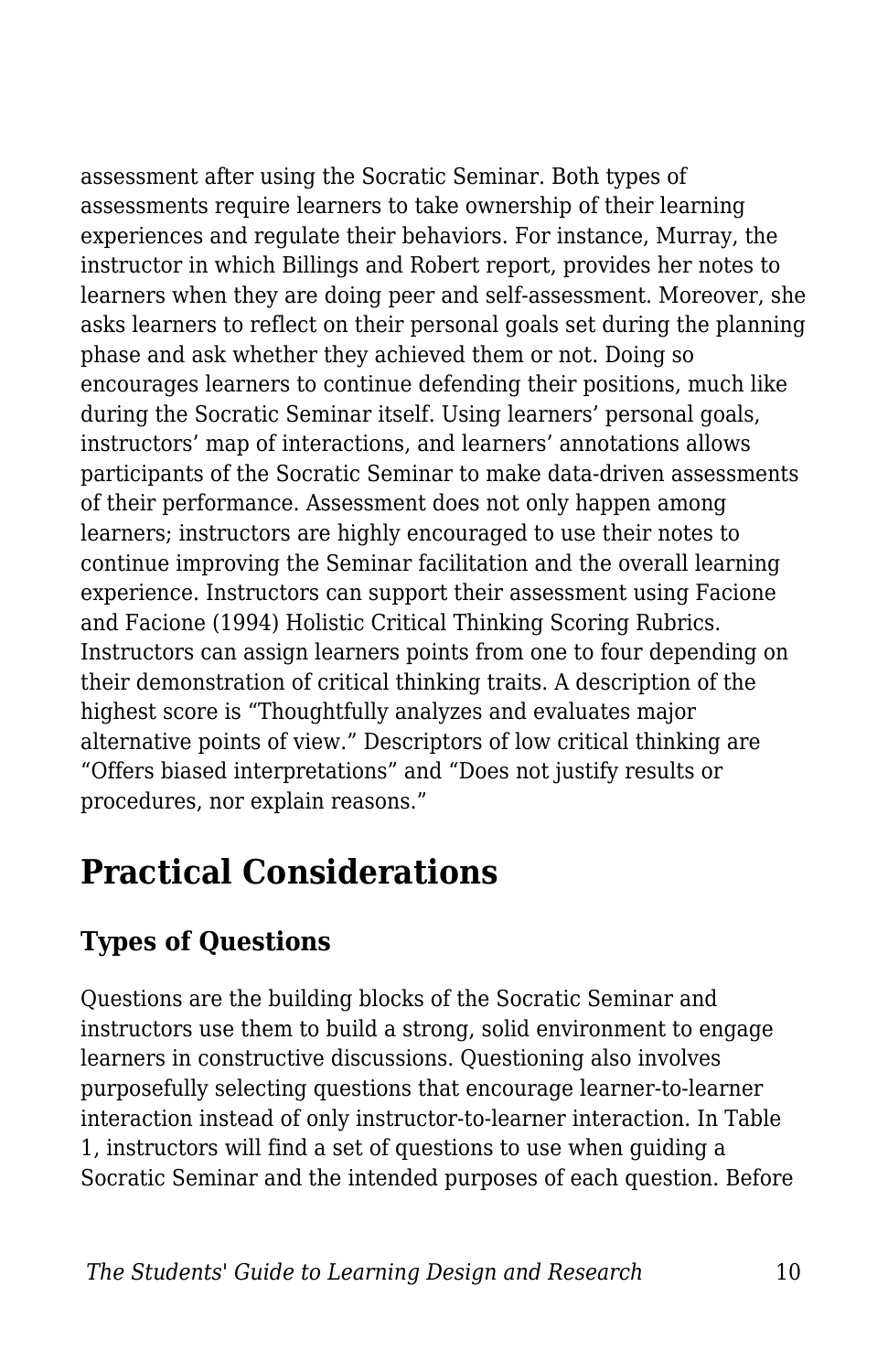assessment after using the Socratic Seminar. Both types of assessments require learners to take ownership of their learning experiences and regulate their behaviors. For instance, Murray, the instructor in which Billings and Robert report, provides her notes to learners when they are doing peer and self-assessment. Moreover, she asks learners to reflect on their personal goals set during the planning phase and ask whether they achieved them or not. Doing so encourages learners to continue defending their positions, much like during the Socratic Seminar itself. Using learners' personal goals, instructors' map of interactions, and learners' annotations allows participants of the Socratic Seminar to make data-driven assessments of their performance. Assessment does not only happen among learners; instructors are highly encouraged to use their notes to continue improving the Seminar facilitation and the overall learning experience. Instructors can support their assessment using Facione and Facione (1994) Holistic Critical Thinking Scoring Rubrics. Instructors can assign learners points from one to four depending on their demonstration of critical thinking traits. A description of the highest score is "Thoughtfully analyzes and evaluates major alternative points of view." Descriptors of low critical thinking are "Offers biased interpretations" and "Does not justify results or procedures, nor explain reasons."

# **Practical Considerations**

## **Types of Questions**

Questions are the building blocks of the Socratic Seminar and instructors use them to build a strong, solid environment to engage learners in constructive discussions. Questioning also involves purposefully selecting questions that encourage learner-to-learner interaction instead of only instructor-to-learner interaction. In Table 1, instructors will find a set of questions to use when guiding a Socratic Seminar and the intended purposes of each question. Before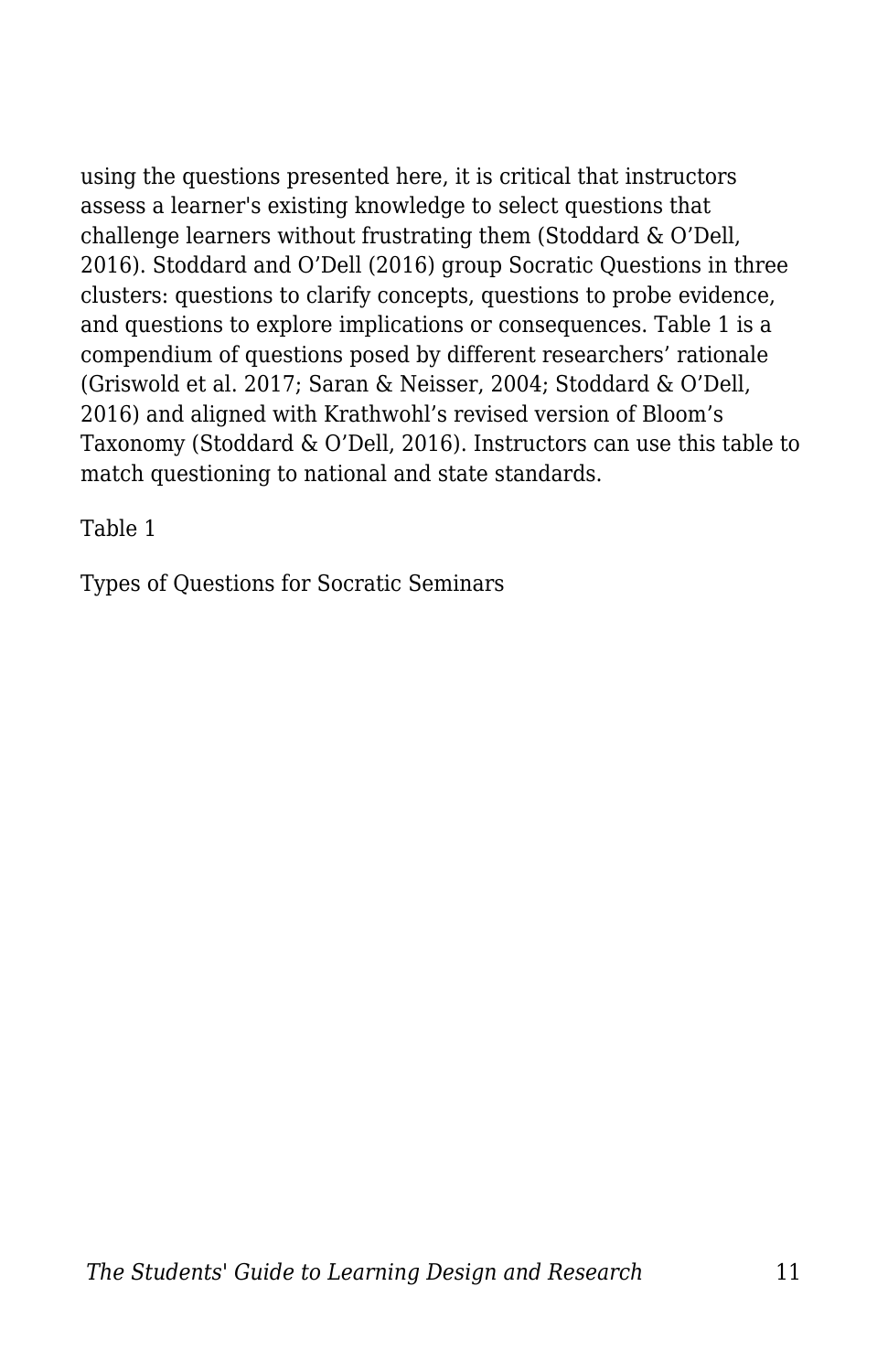using the questions presented here, it is critical that instructors assess a learner's existing knowledge to select questions that challenge learners without frustrating them (Stoddard & O'Dell, 2016). Stoddard and O'Dell (2016) group Socratic Questions in three clusters: questions to clarify concepts, questions to probe evidence, and questions to explore implications or consequences. Table 1 is a compendium of questions posed by different researchers' rationale (Griswold et al. 2017; Saran & Neisser, 2004; Stoddard & O'Dell, 2016) and aligned with Krathwohl's revised version of Bloom's Taxonomy (Stoddard & O'Dell, 2016). Instructors can use this table to match questioning to national and state standards.

Table 1

Types of Questions for Socratic Seminars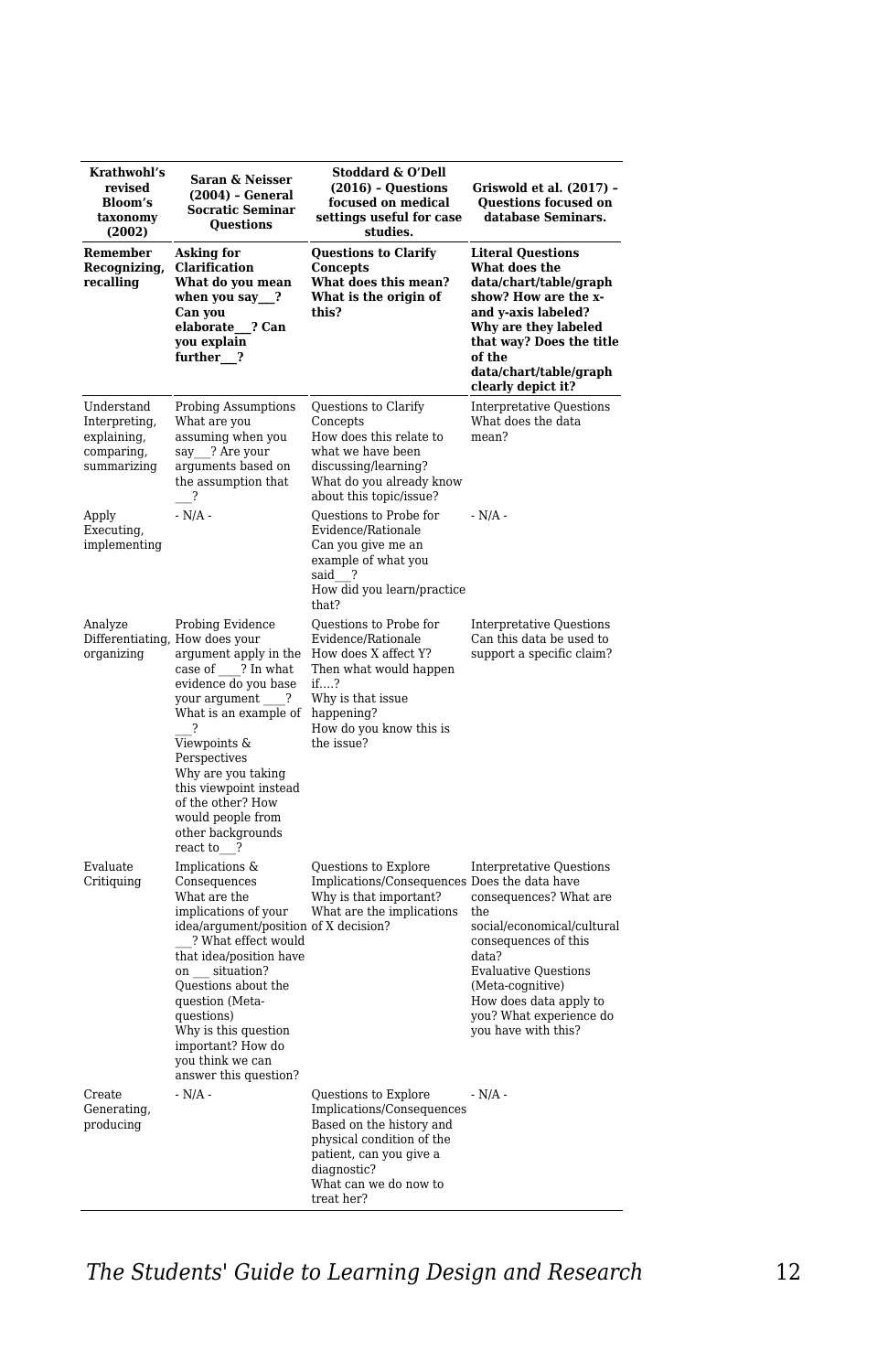| Krathwohl's<br>revised<br>Bloom's<br>taxonomy<br>(2002)                 | Saran & Neisser<br>(2004) - General<br><b>Socratic Seminar</b><br>Questions                                                                                                                                                                                                                                                                    | Stoddard & O'Dell<br>$(2016)$ - Questions<br>focused on medical<br>settings useful for case<br>studies.                                                                                     | Griswold et al. (2017) -<br>Questions focused on<br>database Seminars.                                                                                                                                                                                          |
|-------------------------------------------------------------------------|------------------------------------------------------------------------------------------------------------------------------------------------------------------------------------------------------------------------------------------------------------------------------------------------------------------------------------------------|---------------------------------------------------------------------------------------------------------------------------------------------------------------------------------------------|-----------------------------------------------------------------------------------------------------------------------------------------------------------------------------------------------------------------------------------------------------------------|
| Remember<br>Recognizing,<br>recalling                                   | Asking for<br>Clarification<br>What do you mean<br>when you say __?<br>Can you<br>elaborate ? Can<br>you explain<br>further <sub>2</sub>                                                                                                                                                                                                       | <b>Questions to Clarify</b><br>Concepts<br>What does this mean?<br>What is the origin of<br>this?                                                                                           | <b>Literal Questions</b><br>What does the<br>data/chart/table/graph<br>show? How are the x-<br>and y-axis labeled?<br>Why are they labeled<br>that way? Does the title<br>of the<br>data/chart/table/graph<br>clearly depict it?                                |
| Understand<br>Interpreting,<br>explaining,<br>comparing,<br>summarizing | <b>Probing Assumptions</b><br>What are you<br>assuming when you<br>say ? Are your<br>arguments based on<br>the assumption that<br>$\cdot$ ?                                                                                                                                                                                                    | Questions to Clarify<br>Concepts<br>How does this relate to<br>what we have been<br>discussing/learning?<br>What do you already know<br>about this topic/issue?                             | <b>Interpretative Questions</b><br>What does the data<br>mean?                                                                                                                                                                                                  |
| Apply<br>Executing,<br>implementing                                     | $- N/A -$                                                                                                                                                                                                                                                                                                                                      | Questions to Probe for<br>Evidence/Rationale<br>Can you give me an<br>example of what you<br>said<br>- 2<br>How did you learn/practice<br>that?                                             | $- N/A -$                                                                                                                                                                                                                                                       |
| Analyze<br>organizing                                                   | Probing Evidence<br>Differentiating, How does your<br>argument apply in the<br>? In what<br>case of<br>evidence do you base<br>your argument<br>- ?<br>What is an example of<br>7<br>Viewpoints &<br>Perspectives<br>Why are you taking<br>this viewpoint instead<br>of the other? How<br>would people from<br>other backgrounds<br>react to ? | Questions to Probe for<br>Evidence/Rationale<br>How does X affect Y?<br>Then what would happen<br>if?<br>Why is that issue<br>happening?<br>How do you know this is<br>the issue?           | <b>Interpretative Questions</b><br>Can this data be used to<br>support a specific claim?                                                                                                                                                                        |
| Evaluate<br>Critiquing                                                  | Implications &<br>Consequences<br>What are the<br>implications of your<br>idea/argument/position of X decision?<br>? What effect would<br>that idea/position have<br>on situation?<br>Questions about the<br>question (Meta-<br>questions)<br>Why is this question<br>important? How do<br>you think we can<br>answer this question?           | Questions to Explore<br>Implications/Consequences Does the data have<br>Why is that important?<br>What are the implications                                                                 | <b>Interpretative Questions</b><br>consequences? What are<br>t.he<br>social/economical/cultural<br>consequences of this<br>data?<br><b>Evaluative Questions</b><br>(Meta-cognitive)<br>How does data apply to<br>you? What experience do<br>you have with this? |
| Create<br>Generating,<br>producing                                      | $- N/A -$                                                                                                                                                                                                                                                                                                                                      | Questions to Explore<br>Implications/Consequences<br>Based on the history and<br>physical condition of the<br>patient, can you give a<br>diagnostic?<br>What can we do now to<br>treat her? | $- N/A -$                                                                                                                                                                                                                                                       |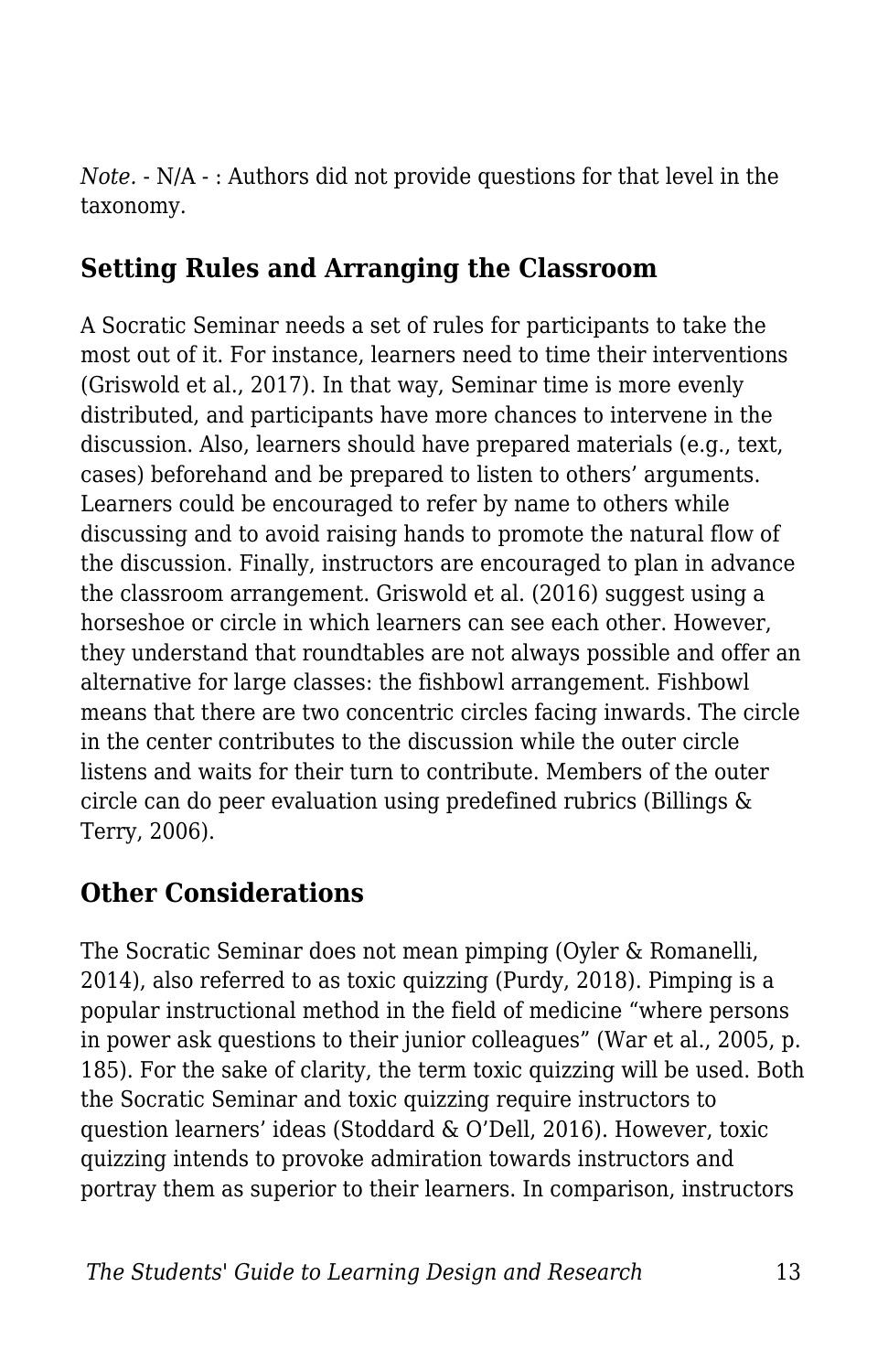*Note.* - N/A - : Authors did not provide questions for that level in the taxonomy.

### **Setting Rules and Arranging the Classroom**

A Socratic Seminar needs a set of rules for participants to take the most out of it. For instance, learners need to time their interventions (Griswold et al., 2017). In that way, Seminar time is more evenly distributed, and participants have more chances to intervene in the discussion. Also, learners should have prepared materials (e.g., text, cases) beforehand and be prepared to listen to others' arguments. Learners could be encouraged to refer by name to others while discussing and to avoid raising hands to promote the natural flow of the discussion. Finally, instructors are encouraged to plan in advance the classroom arrangement. Griswold et al. (2016) suggest using a horseshoe or circle in which learners can see each other. However, they understand that roundtables are not always possible and offer an alternative for large classes: the fishbowl arrangement. Fishbowl means that there are two concentric circles facing inwards. The circle in the center contributes to the discussion while the outer circle listens and waits for their turn to contribute. Members of the outer circle can do peer evaluation using predefined rubrics (Billings & Terry, 2006).

## **Other Considerations**

The Socratic Seminar does not mean pimping (Oyler & Romanelli, 2014), also referred to as toxic quizzing (Purdy, 2018). Pimping is a popular instructional method in the field of medicine "where persons in power ask questions to their junior colleagues" (War et al., 2005, p. 185). For the sake of clarity, the term toxic quizzing will be used. Both the Socratic Seminar and toxic quizzing require instructors to question learners' ideas (Stoddard & O'Dell, 2016). However, toxic quizzing intends to provoke admiration towards instructors and portray them as superior to their learners. In comparison, instructors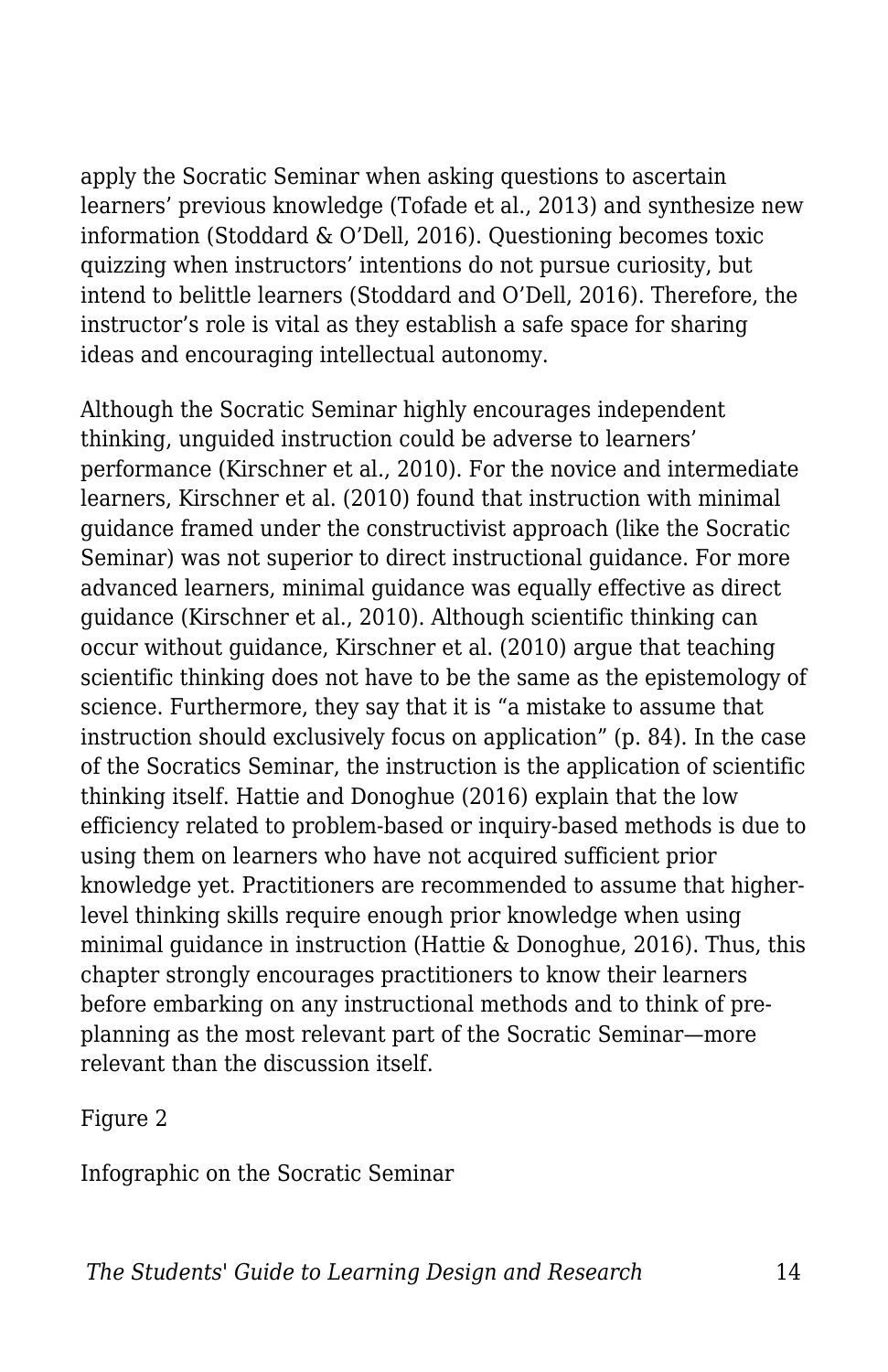apply the Socratic Seminar when asking questions to ascertain learners' previous knowledge (Tofade et al., 2013) and synthesize new information (Stoddard & O'Dell, 2016). Questioning becomes toxic quizzing when instructors' intentions do not pursue curiosity, but intend to belittle learners (Stoddard and O'Dell, 2016). Therefore, the instructor's role is vital as they establish a safe space for sharing ideas and encouraging intellectual autonomy.

Although the Socratic Seminar highly encourages independent thinking, unguided instruction could be adverse to learners' performance (Kirschner et al., 2010). For the novice and intermediate learners, Kirschner et al. (2010) found that instruction with minimal guidance framed under the constructivist approach (like the Socratic Seminar) was not superior to direct instructional guidance. For more advanced learners, minimal guidance was equally effective as direct guidance (Kirschner et al., 2010). Although scientific thinking can occur without guidance, Kirschner et al. (2010) argue that teaching scientific thinking does not have to be the same as the epistemology of science. Furthermore, they say that it is "a mistake to assume that instruction should exclusively focus on application" (p. 84). In the case of the Socratics Seminar, the instruction is the application of scientific thinking itself. Hattie and Donoghue (2016) explain that the low efficiency related to problem-based or inquiry-based methods is due to using them on learners who have not acquired sufficient prior knowledge yet. Practitioners are recommended to assume that higherlevel thinking skills require enough prior knowledge when using minimal guidance in instruction (Hattie & Donoghue, 2016). Thus, this chapter strongly encourages practitioners to know their learners before embarking on any instructional methods and to think of preplanning as the most relevant part of the Socratic Seminar—more relevant than the discussion itself.

Figure 2

Infographic on the Socratic Seminar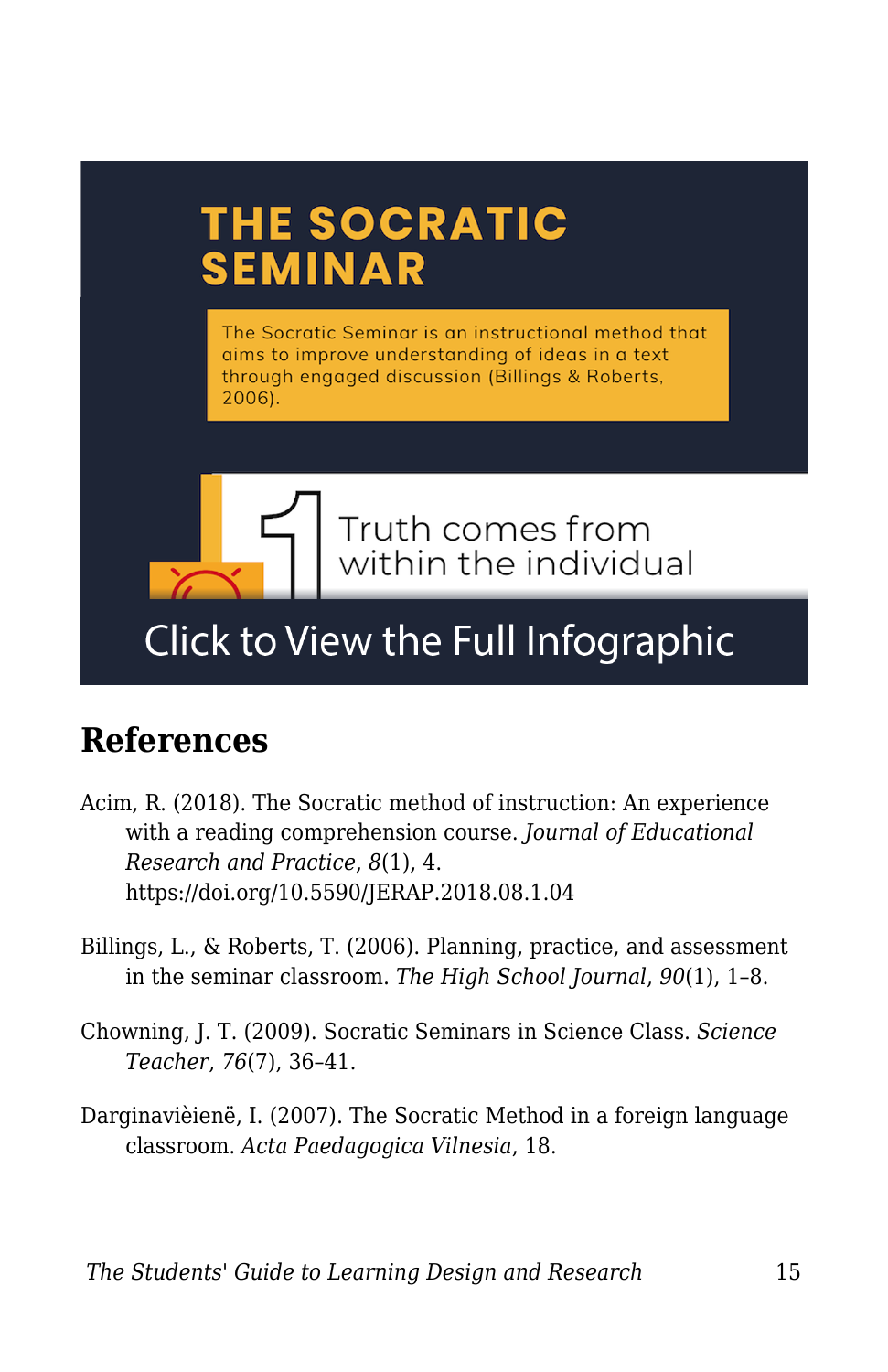# THE SOCRATIC **SEMINAR** The Socratic Seminar is an instructional method that aims to improve understanding of ideas in a text through engaged discussion (Billings & Roberts, 2006). Truth comes from within the individual

# Click to View the Full Infographic

# **References**

- Acim, R. (2018). The Socratic method of instruction: An experience with a reading comprehension course. *Journal of Educational Research and Practice*, *8*(1), 4. https://doi.org/10.5590/JERAP.2018.08.1.04
- Billings, L., & Roberts, T. (2006). Planning, practice, and assessment in the seminar classroom. *The High School Journal*, *90*(1), 1–8.
- Chowning, J. T. (2009). Socratic Seminars in Science Class. *Science Teacher*, *76*(7), 36–41.
- Darginavièienë, I. (2007). The Socratic Method in a foreign language classroom. *Acta Paedagogica Vilnesia*, 18.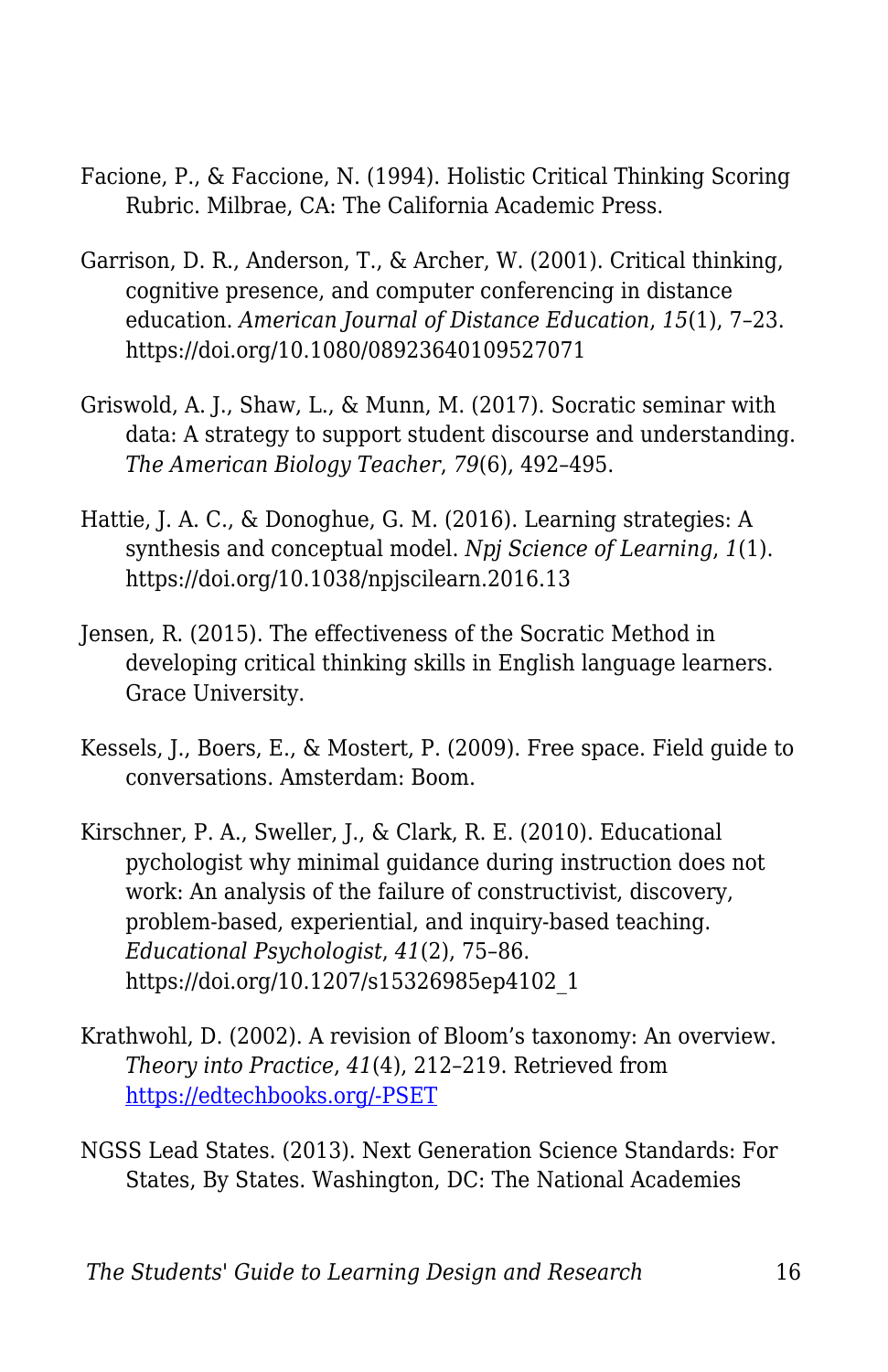- Facione, P., & Faccione, N. (1994). Holistic Critical Thinking Scoring Rubric. Milbrae, CA: The California Academic Press.
- Garrison, D. R., Anderson, T., & Archer, W. (2001). Critical thinking, cognitive presence, and computer conferencing in distance education. *American Journal of Distance Education*, *15*(1), 7–23. https://doi.org/10.1080/08923640109527071
- Griswold, A. J., Shaw, L., & Munn, M. (2017). Socratic seminar with data: A strategy to support student discourse and understanding. *The American Biology Teacher*, *79*(6), 492–495.
- Hattie, J. A. C., & Donoghue, G. M. (2016). Learning strategies: A synthesis and conceptual model. *Npj Science of Learning*, *1*(1). https://doi.org/10.1038/npjscilearn.2016.13
- Jensen, R. (2015). The effectiveness of the Socratic Method in developing critical thinking skills in English language learners. Grace University.
- Kessels, J., Boers, E., & Mostert, P. (2009). Free space. Field guide to conversations. Amsterdam: Boom.
- Kirschner, P. A., Sweller, J., & Clark, R. E. (2010). Educational pychologist why minimal guidance during instruction does not work: An analysis of the failure of constructivist, discovery, problem-based, experiential, and inquiry-based teaching. *Educational Psychologist*, *41*(2), 75–86. https://doi.org/10.1207/s15326985ep4102\_1
- Krathwohl, D. (2002). A revision of Bloom's taxonomy: An overview. *Theory into Practice*, *41*(4), 212–219. Retrieved from [https://edtechbooks.org/-PSET](https://www.depauw.edu/files/resources/krathwohl.pdf)
- NGSS Lead States. (2013). Next Generation Science Standards: For States, By States. Washington, DC: The National Academies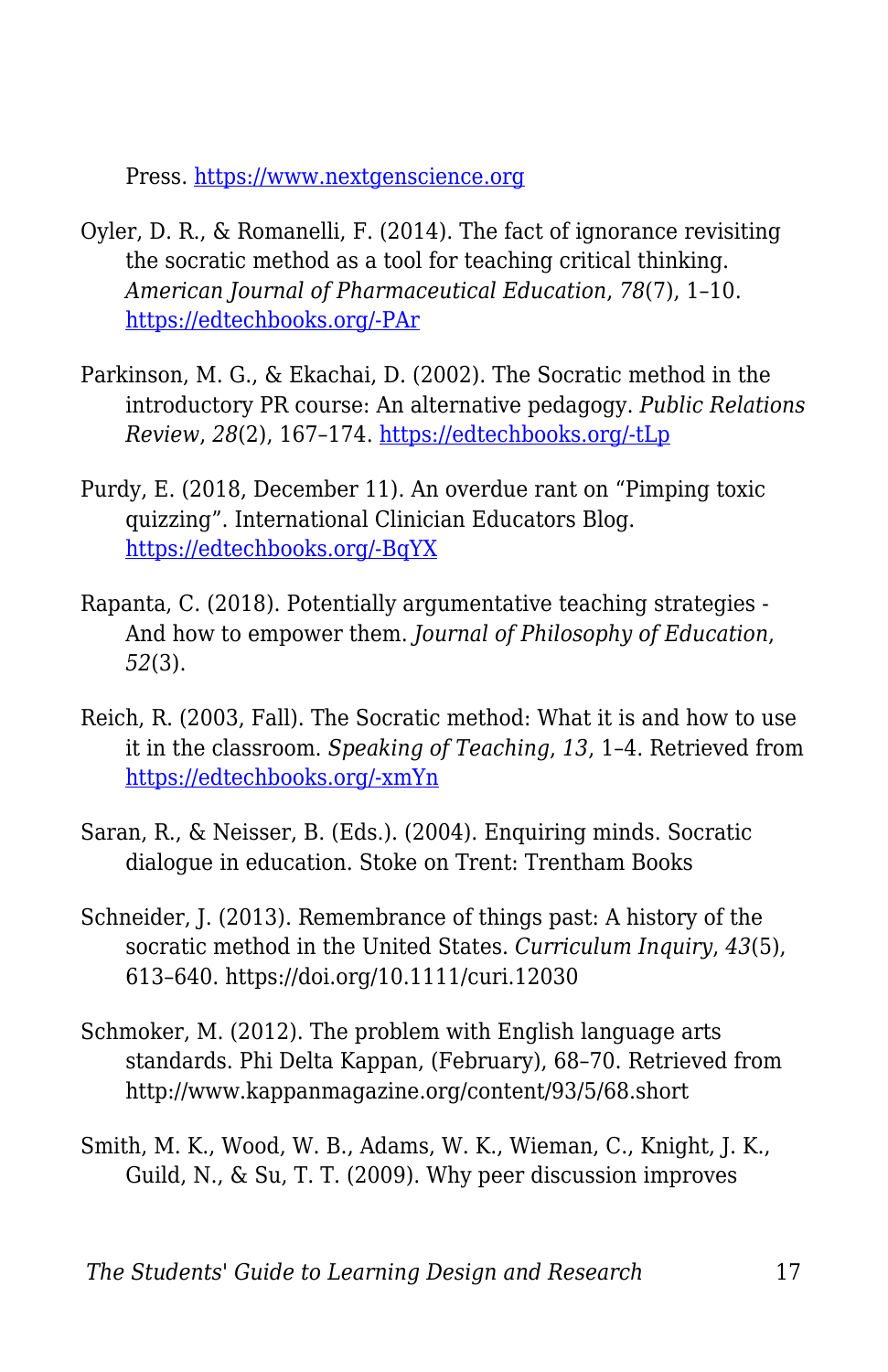Press. <https://www.nextgenscience.org>

- Oyler, D. R., & Romanelli, F. (2014). The fact of ignorance revisiting the socratic method as a tool for teaching critical thinking. *American Journal of Pharmaceutical Education*, *78*(7), 1–10. [https://edtechbooks.org/-PAr](https://doi.org/10.5688/ajpe787144)
- Parkinson, M. G., & Ekachai, D. (2002). The Socratic method in the introductory PR course: An alternative pedagogy. *Public Relations Review*, *28*(2), 167–174. [https://edtechbooks.org/-tLp](https://doi.org/10.1016/S0363-8111(02)00123-6)
- Purdy, E. (2018, December 11). An overdue rant on "Pimping toxic quizzing". International Clinician Educators Blog. [https://edtechbooks.org/-BqYX](https://icenetblog.royalcollege.ca/2018/12/11/an-overdue-rant-on-pimping-toxic-quizzing/)
- Rapanta, C. (2018). Potentially argumentative teaching strategies And how to empower them. *Journal of Philosophy of Education*, *52*(3).
- Reich, R. (2003, Fall). The Socratic method: What it is and how to use it in the classroom. *Speaking of Teaching*, *13*, 1–4. Retrieved from [https://edtechbooks.org/-xmYn](https://tomprof.stanford.edu/posting/810)
- Saran, R., & Neisser, B. (Eds.). (2004). Enquiring minds. Socratic dialogue in education. Stoke on Trent: Trentham Books
- Schneider, J. (2013). Remembrance of things past: A history of the socratic method in the United States. *Curriculum Inquiry*, *43*(5), 613–640. https://doi.org/10.1111/curi.12030
- Schmoker, M. (2012). The problem with English language arts standards. Phi Delta Kappan, (February), 68–70. Retrieved from http://www.kappanmagazine.org/content/93/5/68.short
- Smith, M. K., Wood, W. B., Adams, W. K., Wieman, C., Knight, J. K., Guild, N., & Su, T. T. (2009). Why peer discussion improves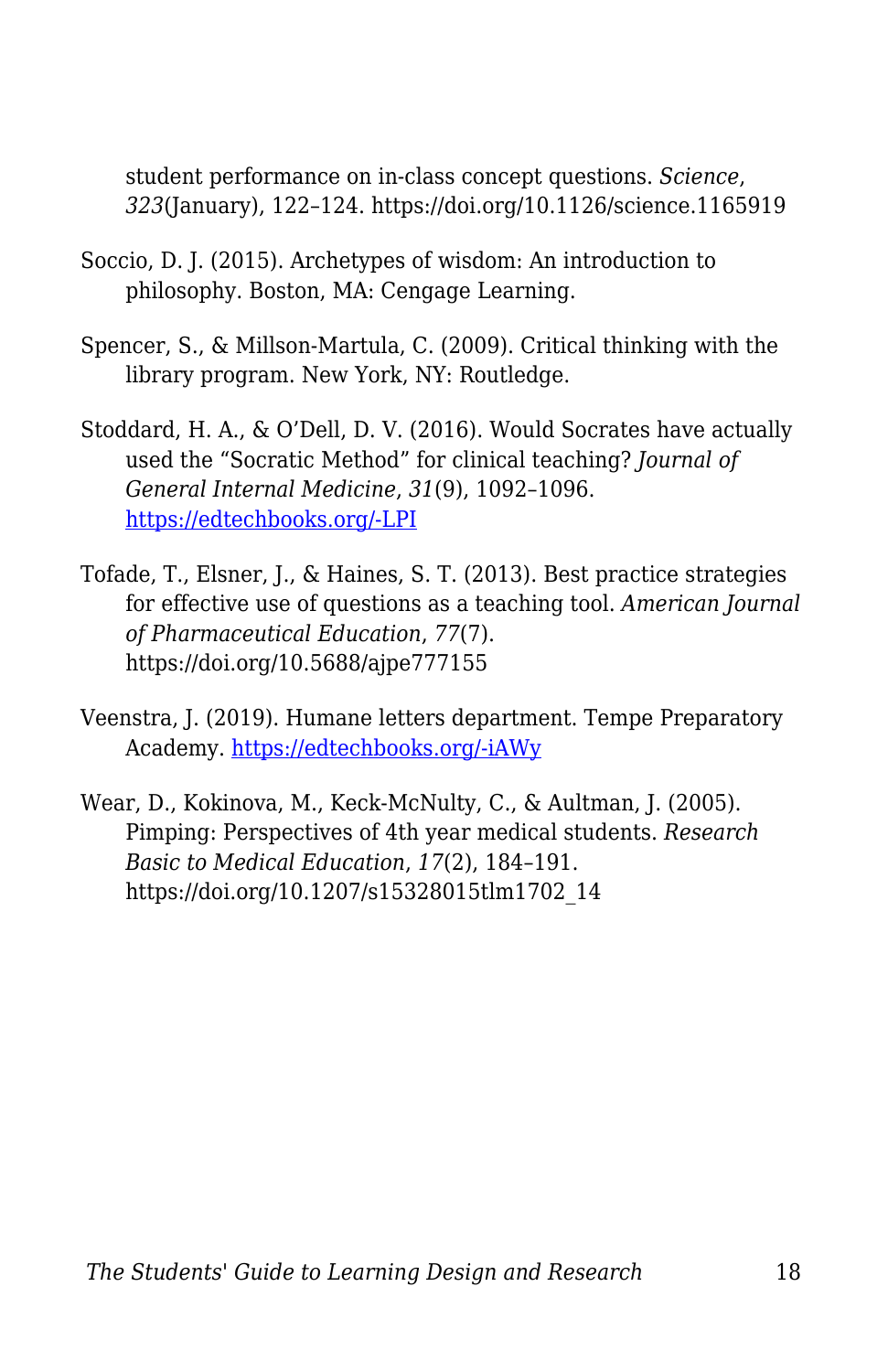student performance on in-class concept questions. *Science*, *323*(January), 122–124. https://doi.org/10.1126/science.1165919

- Soccio, D. J. (2015). Archetypes of wisdom: An introduction to philosophy. Boston, MA: Cengage Learning.
- Spencer, S., & Millson-Martula, C. (2009). Critical thinking with the library program. New York, NY: Routledge.
- Stoddard, H. A., & O'Dell, D. V. (2016). Would Socrates have actually used the "Socratic Method" for clinical teaching? *Journal of General Internal Medicine*, *31*(9), 1092–1096. [https://edtechbooks.org/-LPI](https://doi.org/10.1007/s11606-016-3722-2)
- Tofade, T., Elsner, J., & Haines, S. T. (2013). Best practice strategies for effective use of questions as a teaching tool. *American Journal of Pharmaceutical Education*, *77*(7). https://doi.org/10.5688/ajpe777155
- Veenstra, J. (2019). Humane letters department. Tempe Preparatory Academy. [https://edtechbooks.org/-iAWy](https://www.tempeprep.org/apps/pages/index.jsp?uREC_ID=405432&type=d)
- Wear, D., Kokinova, M., Keck-McNulty, C., & Aultman, J. (2005). Pimping: Perspectives of 4th year medical students. *Research Basic to Medical Education*, *17*(2), 184–191. https://doi.org/10.1207/s15328015tlm1702\_14